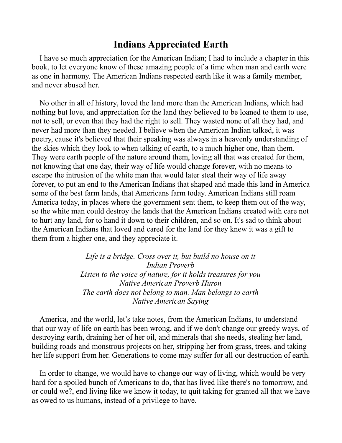## **Indians Appreciated Earth**

I have so much appreciation for the American Indian; I had to include a chapter in this book, to let everyone know of these amazing people of a time when man and earth were as one in harmony. The American Indians respected earth like it was a family member, and never abused her.

No other in all of history, loved the land more than the American Indians, which had nothing but love, and appreciation for the land they believed to be loaned to them to use, not to sell, or even that they had the right to sell. They wasted none of all they had, and never had more than they needed. I believe when the American Indian talked, it was poetry, cause it's believed that their speaking was always in a heavenly understanding of the skies which they look to when talking of earth, to a much higher one, than them. They were earth people of the nature around them, loving all that was created for them, not knowing that one day, their way of life would change forever, with no means to escape the intrusion of the white man that would later steal their way of life away forever, to put an end to the American Indians that shaped and made this land in America some of the best farm lands, that Americans farm today. American Indians still roam America today, in places where the government sent them, to keep them out of the way, so the white man could destroy the lands that the American Indians created with care not to hurt any land, for to hand it down to their children, and so on. It's sad to think about the American Indians that loved and cared for the land for they knew it was a gift to them from a higher one, and they appreciate it.

> *Life is a bridge. Cross over it, but build no house on it Indian Proverb Listen to the voice of nature, for it holds treasures for you Native American Proverb Huron The earth does not belong to man. Man belongs to earth Native American Saying*

America, and the world, let's take notes, from the American Indians, to understand that our way of life on earth has been wrong, and if we don't change our greedy ways, of destroying earth, draining her of her oil, and minerals that she needs, stealing her land, building roads and monstrous projects on her, stripping her from grass, trees, and taking her life support from her. Generations to come may suffer for all our destruction of earth.

In order to change, we would have to change our way of living, which would be very hard for a spoiled bunch of Americans to do, that has lived like there's no tomorrow, and or could we?, end living like we know it today, to quit taking for granted all that we have as owed to us humans, instead of a privilege to have.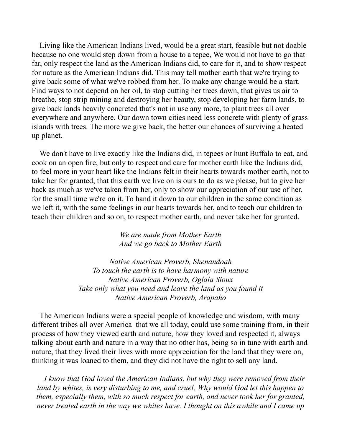Living like the American Indians lived, would be a great start, feasible but not doable because no one would step down from a house to a tepee, We would not have to go that far, only respect the land as the American Indians did, to care for it, and to show respect for nature as the American Indians did. This may tell mother earth that we're trying to give back some of what we've robbed from her. To make any change would be a start. Find ways to not depend on her oil, to stop cutting her trees down, that gives us air to breathe, stop strip mining and destroying her beauty, stop developing her farm lands, to give back lands heavily concreted that's not in use any more, to plant trees all over everywhere and anywhere. Our down town cities need less concrete with plenty of grass islands with trees. The more we give back, the better our chances of surviving a heated up planet.

We don't have to live exactly like the Indians did, in tepees or hunt Buffalo to eat, and cook on an open fire, but only to respect and care for mother earth like the Indians did, to feel more in your heart like the Indians felt in their hearts towards mother earth, not to take her for granted, that this earth we live on is ours to do as we please, but to give her back as much as we've taken from her, only to show our appreciation of our use of her, for the small time we're on it. To hand it down to our children in the same condition as we left it, with the same feelings in our hearts towards her, and to teach our children to teach their children and so on, to respect mother earth, and never take her for granted.

> *We are made from Mother Earth And we go back to Mother Earth*

*Native American Proverb, Shenandoah To touch the earth is to have harmony with nature Native American Proverb, Oglala Sioux Take only what you need and leave the land as you found it Native American Proverb, Arapaho*

The American Indians were a special people of knowledge and wisdom, with many different tribes all over America that we all today, could use some training from, in their process of how they viewed earth and nature, how they loved and respected it, always talking about earth and nature in a way that no other has, being so in tune with earth and nature, that they lived their lives with more appreciation for the land that they were on, thinking it was loaned to them, and they did not have the right to sell any land.

*I know that God loved the American Indians, but why they were removed from their land by whites, is very disturbing to me, and cruel, Why would God let this happen to them, especially them, with so much respect for earth, and never took her for granted, never treated earth in the way we whites have. I thought on this awhile and I came up*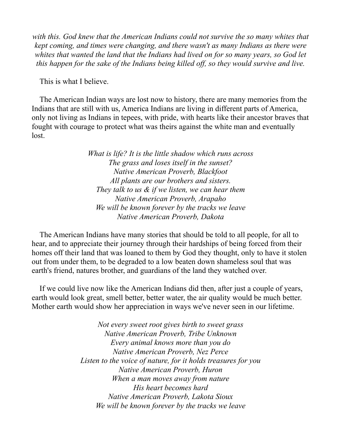*with this. God knew that the American Indians could not survive the so many whites that kept coming, and times were changing, and there wasn't as many Indians as there were whites that wanted the land that the Indians had lived on for so many years, so God let this happen for the sake of the Indians being killed off, so they would survive and live.*

This is what I believe.

The American Indian ways are lost now to history, there are many memories from the Indians that are still with us, America Indians are living in different parts of America, only not living as Indians in tepees, with pride, with hearts like their ancestor braves that fought with courage to protect what was theirs against the white man and eventually lost.

> *What is life? It is the little shadow which runs across The grass and loses itself in the sunset? Native American Proverb, Blackfoot All plants are our brothers and sisters. They talk to us & if we listen, we can hear them Native American Proverb, Arapaho We will be known forever by the tracks we leave Native American Proverb, Dakota*

The American Indians have many stories that should be told to all people, for all to hear, and to appreciate their journey through their hardships of being forced from their homes off their land that was loaned to them by God they thought, only to have it stolen out from under them, to be degraded to a low beaten down shameless soul that was earth's friend, natures brother, and guardians of the land they watched over.

If we could live now like the American Indians did then, after just a couple of years, earth would look great, smell better, better water, the air quality would be much better. Mother earth would show her appreciation in ways we've never seen in our lifetime.

> *Not every sweet root gives birth to sweet grass Native American Proverb, Tribe Unknown Every animal knows more than you do Native American Proverb, Nez Perce Listen to the voice of nature, for it holds treasures for you Native American Proverb, Huron When a man moves away from nature His heart becomes hard Native American Proverb, Lakota Sioux We will be known forever by the tracks we leave*